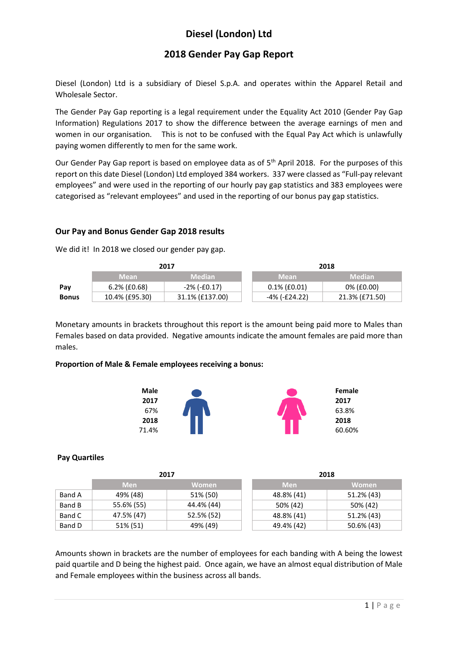# **Diesel (London) Ltd**

## **2018 Gender Pay Gap Report**

Diesel (London) Ltd is a subsidiary of Diesel S.p.A. and operates within the Apparel Retail and Wholesale Sector.

The Gender Pay Gap reporting is a legal requirement under the Equality Act 2010 (Gender Pay Gap Information) Regulations 2017 to show the difference between the average earnings of men and women in our organisation. This is not to be confused with the Equal Pay Act which is unlawfully paying women differently to men for the same work.

Our Gender Pay Gap report is based on employee data as of 5<sup>th</sup> April 2018. For the purposes of this report on this date Diesel (London) Ltd employed 384 workers. 337 were classed as "Full-pay relevant employees" and were used in the reporting of our hourly pay gap statistics and 383 employees were categorised as "relevant employees" and used in the reporting of our bonus pay gap statistics.

## **Our Pay and Bonus Gender Gap 2018 results**

We did it! In 2018 we closed our gender pay gap.

|              | 2017            |                 |                 | 2018           |  |  |
|--------------|-----------------|-----------------|-----------------|----------------|--|--|
|              | <b>Mean</b>     | <b>Median</b>   | <b>Mean</b>     | Median         |  |  |
| Pay          | $6.2\%$ (£0.68) | $-2\%$ (-£0.17) | $0.1\%$ (£0.01) | 0% (£0.00)     |  |  |
| <b>Bonus</b> | 10.4% (£95.30)  | 31.1% (£137.00) | -4% (-£24.22)   | 21.3% (£71.50) |  |  |

Monetary amounts in brackets throughout this report is the amount being paid more to Males than Females based on data provided. Negative amounts indicate the amount females are paid more than males.

#### **Proportion of Male & Female employees receiving a bonus:**



## **Pay Quartiles**

|        | 2017       |              | 2018       |              |  |
|--------|------------|--------------|------------|--------------|--|
|        | <b>Men</b> | <b>Women</b> | <b>Men</b> | <b>Women</b> |  |
| Band A | 49% (48)   | 51% (50)     | 48.8% (41) | 51.2% (43)   |  |
| Band B | 55.6% (55) | 44.4% (44)   | 50% (42)   | 50% (42)     |  |
| Band C | 47.5% (47) | 52.5% (52)   | 48.8% (41) | 51.2% (43)   |  |
| Band D | 51% (51)   | 49% (49)     | 49.4% (42) | 50.6% (43)   |  |

Amounts shown in brackets are the number of employees for each banding with A being the lowest paid quartile and D being the highest paid. Once again, we have an almost equal distribution of Male and Female employees within the business across all bands.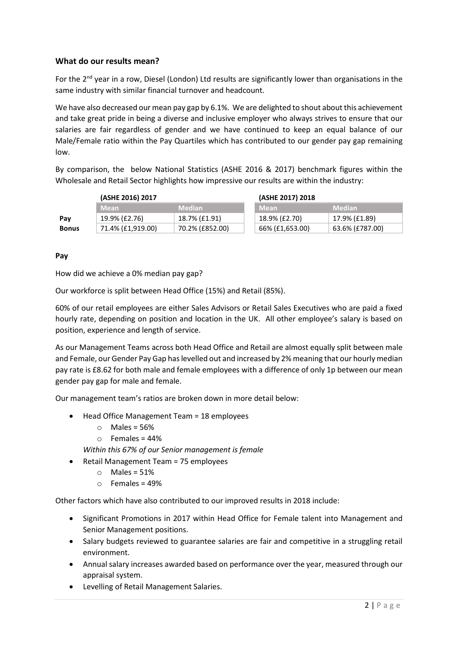## **What do our results mean?**

For the 2<sup>nd</sup> year in a row, Diesel (London) Ltd results are significantly lower than organisations in the same industry with similar financial turnover and headcount.

We have also decreased our mean pay gap by 6.1%. We are delighted to shout about this achievement and take great pride in being a diverse and inclusive employer who always strives to ensure that our salaries are fair regardless of gender and we have continued to keep an equal balance of our Male/Female ratio within the Pay Quartiles which has contributed to our gender pay gap remaining low.

By comparison, the below National Statistics (ASHE 2016 & 2017) benchmark figures within the Wholesale and Retail Sector highlights how impressive our results are within the industry:

|              | (ASHE 2016) 2017  |                 | (ASHE 2017) 2018 |                 |  |
|--------------|-------------------|-----------------|------------------|-----------------|--|
|              | <b>Mean</b>       | <b>Median</b>   | <b>Mean</b>      | <b>Median</b>   |  |
| Pay          | 19.9% (£2.76)     | 18.7% (£1.91)   | 18.9% (£2.70)    | 17.9% (£1.89)   |  |
| <b>Bonus</b> | 71.4% (£1,919.00) | 70.2% (£852.00) | 66% (£1,653.00)  | 63.6% (£787.00) |  |

#### **Pay**

How did we achieve a 0% median pay gap?

Our workforce is split between Head Office (15%) and Retail (85%).

60% of our retail employees are either Sales Advisors or Retail Sales Executives who are paid a fixed hourly rate, depending on position and location in the UK. All other employee's salary is based on position, experience and length of service.

As our Management Teams across both Head Office and Retail are almost equally split between male and Female, our Gender Pay Gap has levelled out and increased by 2% meaning that our hourly median pay rate is £8.62 for both male and female employees with a difference of only 1p between our mean gender pay gap for male and female.

Our management team's ratios are broken down in more detail below:

- Head Office Management Team = 18 employees
	- $\circ$  Males = 56%
	- $\circ$  Females = 44%

*Within this 67% of our Senior management is female*

- Retail Management Team = 75 employees
	- $\circ$  Males = 51%
	- $\circ$  Females = 49%

Other factors which have also contributed to our improved results in 2018 include:

- Significant Promotions in 2017 within Head Office for Female talent into Management and Senior Management positions.
- Salary budgets reviewed to guarantee salaries are fair and competitive in a struggling retail environment.
- Annual salary increases awarded based on performance over the year, measured through our appraisal system.
- Levelling of Retail Management Salaries.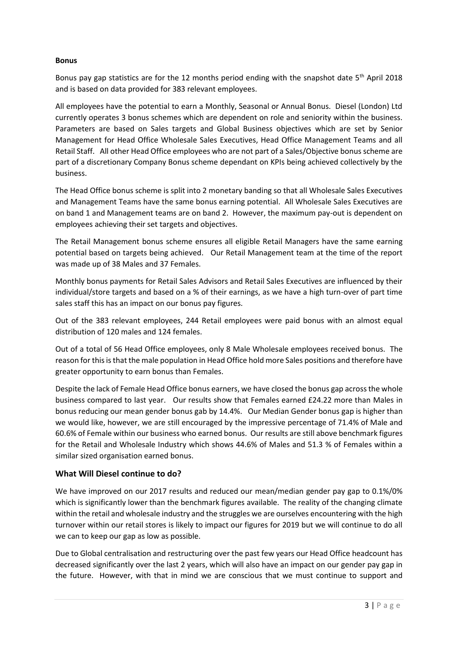#### **Bonus**

Bonus pay gap statistics are for the 12 months period ending with the snapshot date  $5<sup>th</sup>$  April 2018 and is based on data provided for 383 relevant employees.

All employees have the potential to earn a Monthly, Seasonal or Annual Bonus. Diesel (London) Ltd currently operates 3 bonus schemes which are dependent on role and seniority within the business. Parameters are based on Sales targets and Global Business objectives which are set by Senior Management for Head Office Wholesale Sales Executives, Head Office Management Teams and all Retail Staff. All other Head Office employees who are not part of a Sales/Objective bonus scheme are part of a discretionary Company Bonus scheme dependant on KPIs being achieved collectively by the business.

The Head Office bonus scheme is split into 2 monetary banding so that all Wholesale Sales Executives and Management Teams have the same bonus earning potential. All Wholesale Sales Executives are on band 1 and Management teams are on band 2. However, the maximum pay-out is dependent on employees achieving their set targets and objectives.

The Retail Management bonus scheme ensures all eligible Retail Managers have the same earning potential based on targets being achieved. Our Retail Management team at the time of the report was made up of 38 Males and 37 Females.

Monthly bonus payments for Retail Sales Advisors and Retail Sales Executives are influenced by their individual/store targets and based on a % of their earnings, as we have a high turn-over of part time sales staff this has an impact on our bonus pay figures.

Out of the 383 relevant employees, 244 Retail employees were paid bonus with an almost equal distribution of 120 males and 124 females.

Out of a total of 56 Head Office employees, only 8 Male Wholesale employees received bonus. The reason for this is that the male population in Head Office hold more Sales positions and therefore have greater opportunity to earn bonus than Females.

Despite the lack of Female Head Office bonus earners, we have closed the bonus gap across the whole business compared to last year. Our results show that Females earned £24.22 more than Males in bonus reducing our mean gender bonus gab by 14.4%. Our Median Gender bonus gap is higher than we would like, however, we are still encouraged by the impressive percentage of 71.4% of Male and 60.6% of Female within our business who earned bonus. Our results are still above benchmark figures for the Retail and Wholesale Industry which shows 44.6% of Males and 51.3 % of Females within a similar sized organisation earned bonus.

## **What Will Diesel continue to do?**

We have improved on our 2017 results and reduced our mean/median gender pay gap to 0.1%/0% which is significantly lower than the benchmark figures available. The reality of the changing climate within the retail and wholesale industry and the struggles we are ourselves encountering with the high turnover within our retail stores is likely to impact our figures for 2019 but we will continue to do all we can to keep our gap as low as possible.

Due to Global centralisation and restructuring over the past few years our Head Office headcount has decreased significantly over the last 2 years, which will also have an impact on our gender pay gap in the future. However, with that in mind we are conscious that we must continue to support and